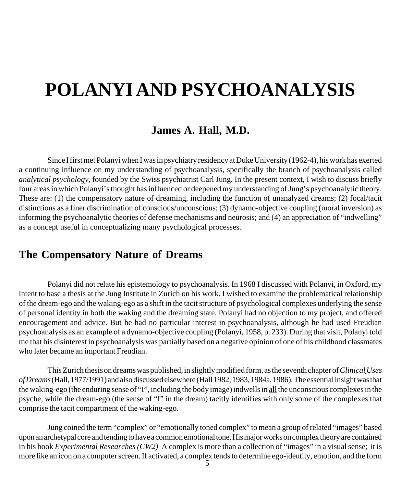# **POLANYI AND PSYCHOANALYSIS**

#### **James A. Hall, M.D.**

Since I first met Polanyi when I was in psychiatry residency at Duke University (1962-4), his work has exerted a continuing influence on my understanding of psychoanalysis, specifically the branch of psychoanalysis called *analytical psychology*, founded by the Swiss psychiatrist Carl Jung. In the present context, I wish to discuss briefly four areas in which Polanyi's thought has influenced or deepened my understanding of Jung's psychoanalytic theory. These are: (1) the compensatory nature of dreaming, including the function of unanalyzed dreams; (2) focal/tacit distinctions as a finer discrimination of conscious/unconscious; (3) dynamo-objective coupling (moral inversion) as informing the psychoanalytic theories of defense mechanisms and neurosis; and (4) an appreciation of "indwelling" as a concept useful in conceptualizing many psychological processes.

#### **The Compensatory Nature of Dreams**

Polanyi did not relate his epistemology to psychoanalysis. In 1968 I discussed with Polanyi, in Oxford, my intent to base a thesis at the Jung Institute in Zurich on his work. I wished to examine the problematical relationship of the dream-ego and the waking-ego as a shift in the tacit structure of psychological complexes underlying the sense of personal identity in both the waking and the dreaming state. Polanyi had no objection to my project, and offered encouragement and advice. But he had no particular interest in psychoanalysis, although he had used Freudian psychoanalysis as an example of a dynamo-objective coupling (Polanyi, 1958, p. 233). During that visit, Polanyi told me that his disinterest in psychoanalysis was partially based on a negative opinion of one of his childhood classmates who later became an important Freudian.

This Zurich thesis on dreams was published, in slightly modified form, as the seventh chapter of *ClinicalUses of Dreams* (Hall, 1977/1991) and also discussed elsewhere (Hall 1982, 1983, 1984a, 1986). The essential insight was that the waking-ego (the enduring sense of "I", including the body image) indwells in all the unconscious complexes in the psyche, while the dream-ego (the sense of "I" in the dream) tacitly identifies with only some of the complexes that comprise the tacit compartment of the waking-ego.

Jung coined the term "complex" or "emotionally toned complex" to mean a group of related "images" based upon an archetypal core and tending to have a common emotional tone. His major works on complex theory are contained in his book *Experimental Researches(CW2)* A complex is more than a collection of "images" in a visual sense; it is more like an icon on a computer screen. If activated, a complex tends to determine ego-identity, emotion, and the form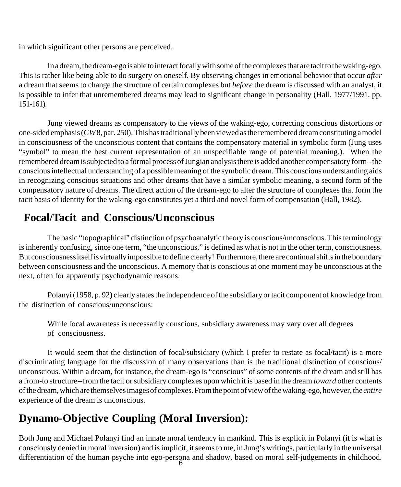in which significant other persons are perceived.

In a dream, the dream-ego is able to interact focally with some of the complexes that are tacit to the waking-ego. This is rather like being able to do surgery on oneself. By observing changes in emotional behavior that occur *after* a dream that seems to change the structure of certain complexes but *before* the dream is discussed with an analyst, it is possible to infer that unremembered dreams may lead to significant change in personality (Hall, 1977/1991, pp. 151-161).

Jung viewed dreams as compensatory to the views of the waking-ego, correcting conscious distortions or one-sided emphasis (*CW* 8, par. 250). This has traditionally been viewed as the remembered dream constituting a model in consciousness of the unconscious content that contains the compensatory material in symbolic form (Jung uses "symbol" to mean the best current representation of an unspecifiable range of potential meaning.). When the remembered dream is subjected to a formal process of Jungian analysis there is added another compensatory form--the conscious intellectual understanding of a possible meaning of the symbolic dream. This conscious understanding aids in recognizing conscious situations and other dreams that have a similar symbolic meaning, a second form of the compensatory nature of dreams. The direct action of the dream-ego to alter the structure of complexes that form the tacit basis of identity for the waking-ego constitutes yet a third and novel form of compensation (Hall, 1982).

## **Focal/Tacit and Conscious/Unconscious**

The basic "topographical" distinction of psychoanalytic theory is conscious/unconscious. This terminology is inherently confusing, since one term, "the unconscious," is defined as what is not in the other term, consciousness. But consciousness itself is virtually impossible to define clearly! Furthermore, there are continual shifts in the boundary between consciousness and the unconscious. A memory that is conscious at one moment may be unconscious at the next, often for apparently psychodynamic reasons.

Polanyi (1958, p. 92) clearly states the independence of the subsidiary or tacit component of knowledge from the distinction of conscious/unconscious:

While focal awareness is necessarily conscious, subsidiary awareness may vary over all degrees of consciousness.

It would seem that the distinction of focal/subsidiary (which I prefer to restate as focal/tacit) is a more discriminating language for the discussion of many observations than is the traditional distinction of conscious/ unconscious. Within a dream, for instance, the dream-ego is "conscious" of some contents of the dream and still has a from-to structure--from the tacit or subsidiary complexes upon which it is based in the dream *toward* other contents of the dream, which are themselves images of complexes. From the point of view of the waking-ego, however, the *entire* experience of the dream is unconscious.

## **Dynamo-Objective Coupling (Moral Inversion):**

differentiation of the human psyche into ego-persona and shadow, based on moral self-judgements in childhood.<br>6 Both Jung and Michael Polanyi find an innate moral tendency in mankind. This is explicit in Polanyi (it is what is consciously denied in moral inversion) and is implicit, it seems to me, in Jung's writings, particularly in the universal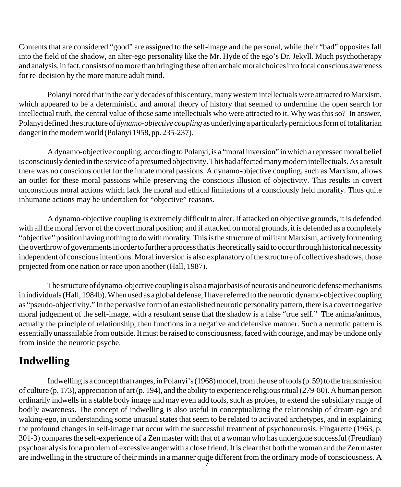Contents that are considered "good" are assigned to the self-image and the personal, while their "bad" opposites fall into the field of the shadow, an alter-ego personality like the Mr. Hyde of the ego's Dr. Jekyll. Much psychotherapy and analysis, in fact, consists of no more than bringing these often archaic moral choices into focal conscious awareness for re-decision by the more mature adult mind.

Polanyi noted that in the early decades of this century, many western intellectuals were attracted to Marxism, which appeared to be a deterministic and amoral theory of history that seemed to undermine the open search for intellectual truth, the central value of those same intellectuals who were attracted to it. Why was this so? In answer, Polanyi defined the structure of *dynamo-objective coupling* as underlying a particularly pernicious form of totalitarian danger in the modern world (Polanyi 1958, pp. 235-237).

A dynamo-objective coupling, according to Polanyi, is a "moral inversion" in which a repressed moral belief is consciously denied in the service of a presumed objectivity. This had affected many modern intellectuals. As a result there was no conscious outlet for the innate moral passions. A dynamo-objective coupling, such as Marxism, allows an outlet for these moral passions while preserving the conscious illusion of objectivity. This results in covert unconscious moral actions which lack the moral and ethical limitations of a consciously held morality. Thus quite inhumane actions may be undertaken for "objective" reasons.

A dynamo-objective coupling is extremely difficult to alter. If attacked on objective grounds, it is defended with all the moral fervor of the covert moral position; and if attacked on moral grounds, it is defended as a completely "objective" position having nothing to do with morality. This is the structure of militant Marxism, actively formenting the overthrow of governments in order to further a process that is theoretically said to occur through historical necessity independent of conscious intentions. Moral inversion is also explanatory of the structure of collective shadows, those projected from one nation or race upon another (Hall, 1987).

The structure of dynamo-objective coupling is also a major basis of neurosis and neurotic defense mechanisms in individuals (Hall, 1984b). When used as a global defense, I have referred to the neurotic dynamo-objective coupling as "pseudo-objectivity." In the pervasive form of an established neurotic personality pattern, there is a covert negative moral judgement of the self-image, with a resultant sense that the shadow is a false "true self." The anima/animus, actually the principle of relationship, then functions in a negative and defensive manner. Such a neurotic pattern is essentially unassailable from outside. It must be raised to consciousness, faced with courage, and may be undone only from inside the neurotic psyche.

#### **Indwelling**

are indwelling in the structure of their minds in a manner quite different from the ordinary mode of consciousness. A Indwelling is a concept that ranges, in Polanyi's (1968) model, from the use of tools (p. 59) to the transmission of culture (p. 173), appreciation of art (p. 194), and the ability to experience religious ritual (279-80). A human person ordinarily indwells in a stable body image and may even add tools, such as probes, to extend the subsidiary range of bodily awareness. The concept of indwelling is also useful in conceptualizing the relationship of dream-ego and waking-ego, in understanding some unusual states that seem to be related to activated archetypes, and in explaining the profound changes in self-image that occur with the successful treatment of psychoneurosis. Fingarette (1963, p. 301-3) compares the self-experience of a Zen master with that of a woman who has undergone successful (Freudian) psychoanalysis for a problem of excessive anger with a close friend. It is clear that both the woman and the Zen master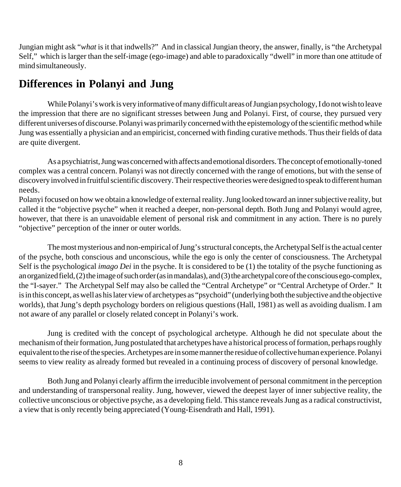Jungian might ask "*what* is it that indwells?" And in classical Jungian theory, the answer, finally, is "the Archetypal Self," which is larger than the self-image (ego-image) and able to paradoxically "dwell" in more than one attitude of mind simultaneously.

## **Differences in Polanyi and Jung**

While Polanyi's work is very informative of many difficult areas of Jungian psychology, I do not wish to leave the impression that there are no significant stresses between Jung and Polanyi. First, of course, they pursued very different universes of discourse. Polanyi was primarily concerned with the epistemology of the scientific method while Jung was essentially a physician and an empiricist, concerned with finding curative methods. Thus their fields of data are quite divergent.

As a psychiatrist, Jung was concerned with affects and emotional disorders. The concept of emotionally-toned complex was a central concern. Polanyi was not directly concerned with the range of emotions, but with the sense of discovery involved in fruitful scientific discovery. Their respective theories were designed to speak to different human needs.

Polanyi focused on how we obtain a knowledge of external reality. Jung looked toward an inner subjective reality, but called it the "objective psyche" when it reached a deeper, non-personal depth. Both Jung and Polanyi would agree, however, that there is an unavoidable element of personal risk and commitment in any action. There is no purely "objective" perception of the inner or outer worlds.

The most mysterious and non-empirical of Jung's structural concepts, the Archetypal Self is the actual center of the psyche, both conscious and unconscious, while the ego is only the center of consciousness. The Archetypal Self is the psychological *imago Dei* in the psyche. It is considered to be (1) the totality of the psyche functioning as an organized field, (2) the image of such order (as in mandalas), and (3) the archetypal core of the conscious ego-complex, the "I-sayer." The Archetypal Self may also be called the "Central Archetype" or "Central Archetype of Order." It is in this concept, as well as his later view of archetypes as "psychoid" (underlying both the subjective and the objective worlds), that Jung's depth psychology borders on religious questions (Hall, 1981) as well as avoiding dualism. I am not aware of any parallel or closely related concept in Polanyi's work.

Jung is credited with the concept of psychological archetype. Although he did not speculate about the mechanism of their formation, Jung postulated that archetypes have a historical process of formation, perhaps roughly equivalent to the rise of the species. Archetypes are in some manner the residue of collective human experience. Polanyi seems to view reality as already formed but revealed in a continuing process of discovery of personal knowledge.

Both Jung and Polanyi clearly affirm the irreducible involvement of personal commitment in the perception and understanding of transpersonal reality. Jung, however, viewed the deepest layer of inner subjective reality, the collective unconscious or objective psyche, as a developing field. This stance reveals Jung as a radical constructivist, a view that is only recently being appreciated (Young-Eisendrath and Hall, 1991).